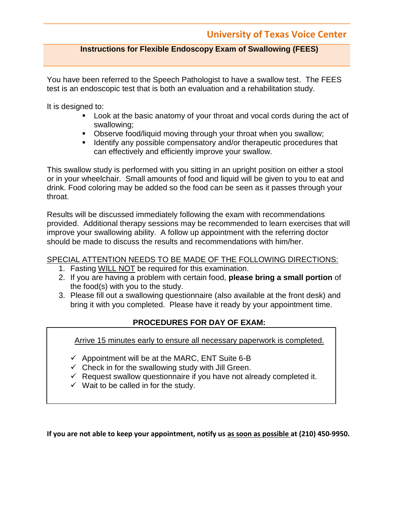#### **Instructions for Flexible Endoscopy Exam of Swallowing (FEES)**

You have been referred to the Speech Pathologist to have a swallow test. The FEES test is an endoscopic test that is both an evaluation and a rehabilitation study.

It is designed to:

- Look at the basic anatomy of your throat and vocal cords during the act of swallowing;
- Observe food/liquid moving through your throat when you swallow;
- **If Identify any possible compensatory and/or therapeutic procedures that** can effectively and efficiently improve your swallow.

This swallow study is performed with you sitting in an upright position on either a stool or in your wheelchair. Small amounts of food and liquid will be given to you to eat and drink. Food coloring may be added so the food can be seen as it passes through your throat.

Results will be discussed immediately following the exam with recommendations provided. Additional therapy sessions may be recommended to learn exercises that will improve your swallowing ability. A follow up appointment with the referring doctor should be made to discuss the results and recommendations with him/her.

#### SPECIAL ATTENTION NEEDS TO BE MADE OF THE FOLLOWING DIRECTIONS:

- 1. Fasting WILL NOT be required for this examination.
- 2. If you are having a problem with certain food, **please bring a small portion** of the food(s) with you to the study.
- 3. Please fill out a swallowing questionnaire (also available at the front desk) and bring it with you completed. Please have it ready by your appointment time.

#### **PROCEDURES FOR DAY OF EXAM:**

Arrive 15 minutes early to ensure all necessary paperwork is completed.

- $\checkmark$  Appointment will be at the MARC, ENT Suite 6-B
- $\checkmark$  Check in for the swallowing study with Jill Green.
- $\checkmark$  Request swallow questionnaire if you have not already completed it.
- $\checkmark$  Wait to be called in for the study.

**If you are not able to keep your appointment, notify us as soon as possible at (210) 450-9950.**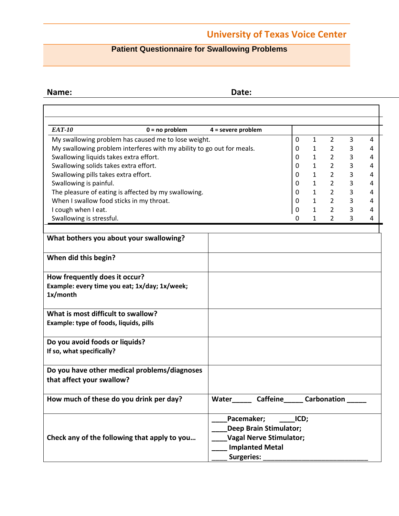### **Patient Questionnaire for Swallowing Problems**

**Name: Date:**

| <b>EAT-10</b>                                                                                                                                                      | $0 = no$ problem                             | $4 =$ severe problem |                               |      |              |                |                |   |  |  |
|--------------------------------------------------------------------------------------------------------------------------------------------------------------------|----------------------------------------------|----------------------|-------------------------------|------|--------------|----------------|----------------|---|--|--|
| My swallowing problem has caused me to lose weight.                                                                                                                |                                              |                      |                               |      | 1            | $\overline{2}$ | 3              | 4 |  |  |
| My swallowing problem interferes with my ability to go out for meals.                                                                                              |                                              |                      |                               |      | 1            | $\overline{2}$ | 3              | 4 |  |  |
| Swallowing liquids takes extra effort.                                                                                                                             |                                              |                      |                               |      |              | $\overline{2}$ | 3              | 4 |  |  |
| Swallowing solids takes extra effort.                                                                                                                              |                                              |                      |                               |      | $\mathbf{1}$ | $\overline{2}$ | 3              | 4 |  |  |
| Swallowing pills takes extra effort.<br>Swallowing is painful.<br>The pleasure of eating is affected by my swallowing.<br>When I swallow food sticks in my throat. |                                              |                      |                               |      | 1            | $2^{\circ}$    | $\overline{3}$ | 4 |  |  |
|                                                                                                                                                                    |                                              |                      |                               |      | 1            | $\overline{2}$ | 3              | 4 |  |  |
|                                                                                                                                                                    |                                              |                      |                               |      | $\mathbf{1}$ | $\overline{2}$ | 3              | 4 |  |  |
|                                                                                                                                                                    |                                              |                      |                               |      | $\mathbf{1}$ | $\overline{2}$ | 3              | 4 |  |  |
| I cough when I eat.                                                                                                                                                |                                              |                      |                               |      | 1            | $\overline{2}$ | 3              | 4 |  |  |
| Swallowing is stressful.                                                                                                                                           |                                              |                      |                               |      | 1            | $\overline{2}$ | 3              | 4 |  |  |
| What bothers you about your swallowing?                                                                                                                            |                                              |                      |                               |      |              |                |                |   |  |  |
|                                                                                                                                                                    |                                              |                      |                               |      |              |                |                |   |  |  |
| When did this begin?                                                                                                                                               |                                              |                      |                               |      |              |                |                |   |  |  |
| How frequently does it occur?                                                                                                                                      |                                              |                      |                               |      |              |                |                |   |  |  |
| Example: every time you eat; 1x/day; 1x/week;<br>1x/month                                                                                                          |                                              |                      |                               |      |              |                |                |   |  |  |
|                                                                                                                                                                    |                                              |                      |                               |      |              |                |                |   |  |  |
| What is most difficult to swallow?                                                                                                                                 |                                              |                      |                               |      |              |                |                |   |  |  |
| Example: type of foods, liquids, pills                                                                                                                             |                                              |                      |                               |      |              |                |                |   |  |  |
| Do you avoid foods or liquids?                                                                                                                                     |                                              |                      |                               |      |              |                |                |   |  |  |
| If so, what specifically?                                                                                                                                          |                                              |                      |                               |      |              |                |                |   |  |  |
|                                                                                                                                                                    | Do you have other medical problems/diagnoses |                      |                               |      |              |                |                |   |  |  |
| that affect your swallow?                                                                                                                                          |                                              |                      |                               |      |              |                |                |   |  |  |
|                                                                                                                                                                    |                                              |                      |                               |      |              |                |                |   |  |  |
| How much of these do you drink per day?                                                                                                                            |                                              | Water                | Caffeine_______Carbonation    |      |              |                |                |   |  |  |
|                                                                                                                                                                    |                                              | Pacemaker;           |                               | ICD; |              |                |                |   |  |  |
|                                                                                                                                                                    |                                              |                      | <b>Deep Brain Stimulator;</b> |      |              |                |                |   |  |  |
| Check any of the following that apply to you                                                                                                                       | <b>Vagal Nerve Stimulator;</b>               |                      |                               |      |              |                |                |   |  |  |
|                                                                                                                                                                    | <b>Implanted Metal</b>                       |                      |                               |      |              |                |                |   |  |  |
|                                                                                                                                                                    |                                              | Surgeries:           |                               |      |              |                |                |   |  |  |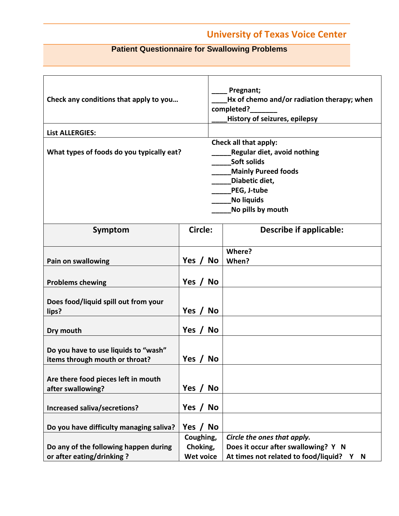### **Patient Questionnaire for Swallowing Problems**

| Check any conditions that apply to you                                 |                                           |           | Pregnant;<br>Hx of chemo and/or radiation therapy; when<br>completed?<br><b>History of seizures, epilepsy</b>                                                                |  |  |  |  |
|------------------------------------------------------------------------|-------------------------------------------|-----------|------------------------------------------------------------------------------------------------------------------------------------------------------------------------------|--|--|--|--|
| <b>List ALLERGIES:</b>                                                 |                                           |           |                                                                                                                                                                              |  |  |  |  |
| What types of foods do you typically eat?                              |                                           |           | Check all that apply:<br><b>Regular diet, avoid nothing</b><br>Soft solids<br><b>Mainly Pureed foods</b><br>Diabetic diet,<br>PEG, J-tube<br>No liquids<br>No pills by mouth |  |  |  |  |
| Symptom                                                                | Circle:                                   |           | <b>Describe if applicable:</b>                                                                                                                                               |  |  |  |  |
| Pain on swallowing                                                     | Yes / No                                  |           | Where?<br>When?                                                                                                                                                              |  |  |  |  |
| <b>Problems chewing</b>                                                | Yes $/$                                   | <b>No</b> |                                                                                                                                                                              |  |  |  |  |
| Does food/liquid spill out from your<br>lips?                          | Yes /                                     | <b>No</b> |                                                                                                                                                                              |  |  |  |  |
| Dry mouth                                                              | Yes $/$                                   | <b>No</b> |                                                                                                                                                                              |  |  |  |  |
| Do you have to use liquids to "wash"<br>items through mouth or throat? | Yes /                                     | <b>No</b> |                                                                                                                                                                              |  |  |  |  |
| Are there food pieces left in mouth<br>after swallowing?               | Yes $/$                                   | <b>No</b> |                                                                                                                                                                              |  |  |  |  |
| <b>Increased saliva/secretions?</b>                                    | Yes $/$                                   | <b>No</b> |                                                                                                                                                                              |  |  |  |  |
| Do you have difficulty managing saliva?                                | <b>Yes</b>                                | <b>No</b> |                                                                                                                                                                              |  |  |  |  |
| Do any of the following happen during<br>or after eating/drinking?     | Coughing,<br>Choking,<br><b>Wet voice</b> |           | Circle the ones that apply.<br>Does it occur after swallowing? Y N<br>At times not related to food/liquid? Y N                                                               |  |  |  |  |